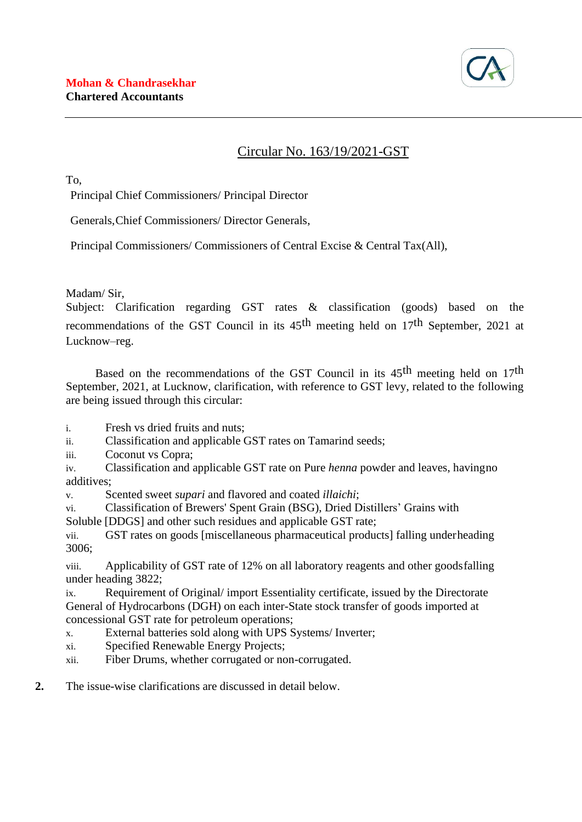

# Circular No. 163/19/2021-GST

To,

Principal Chief Commissioners/ Principal Director

Generals,Chief Commissioners/ Director Generals,

Principal Commissioners/ Commissioners of Central Excise & Central Tax(All),

Madam/ Sir,

Subject: Clarification regarding GST rates & classification (goods) based on the recommendations of the GST Council in its  $45<sup>th</sup>$  meeting held on 17<sup>th</sup> September, 2021 at Lucknow–reg.

Based on the recommendations of the GST Council in its 45<sup>th</sup> meeting held on 17<sup>th</sup> September, 2021, at Lucknow, clarification, with reference to GST levy, related to the following are being issued through this circular:

i. Fresh vs dried fruits and nuts;

ii. Classification and applicable GST rates on Tamarind seeds;

iii. Coconut vs Copra;

iv. Classification and applicable GST rate on Pure *henna* powder and leaves, havingno additives;

v. Scented sweet *supari* and flavored and coated *illaichi*;

vi. Classification of Brewers' Spent Grain (BSG), Dried Distillers' Grains with

Soluble [DDGS] and other such residues and applicable GST rate;

vii. GST rates on goods [miscellaneous pharmaceutical products] falling underheading 3006;

viii. Applicability of GST rate of 12% on all laboratory reagents and other goodsfalling under heading 3822;

ix. Requirement of Original/ import Essentiality certificate, issued by the Directorate General of Hydrocarbons (DGH) on each inter-State stock transfer of goods imported at concessional GST rate for petroleum operations;

x. External batteries sold along with UPS Systems/ Inverter;

xi. Specified Renewable Energy Projects;

xii. Fiber Drums, whether corrugated or non-corrugated.

**2.** The issue-wise clarifications are discussed in detail below.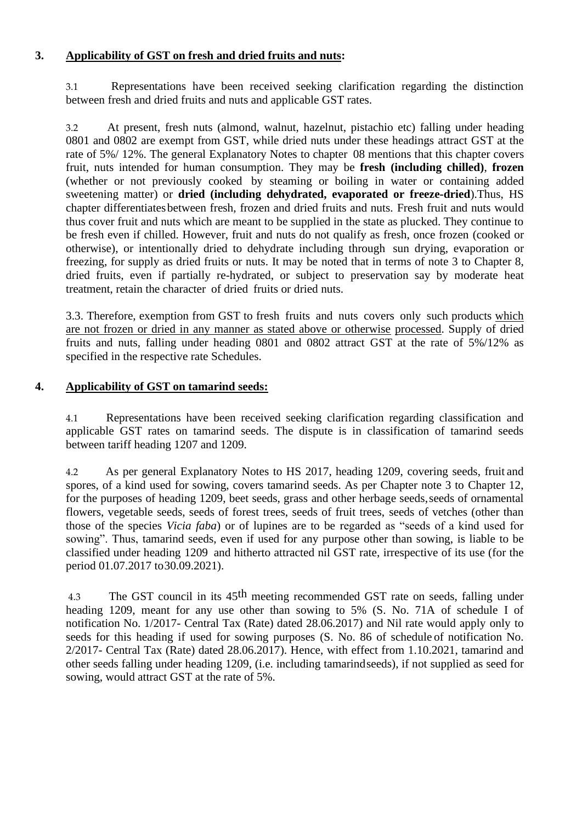### **3. Applicability of GST on fresh and dried fruits and nuts:**

3.1 Representations have been received seeking clarification regarding the distinction between fresh and dried fruits and nuts and applicable GST rates.

3.2 At present, fresh nuts (almond, walnut, hazelnut, pistachio etc) falling under heading 0801 and 0802 are exempt from GST, while dried nuts under these headings attract GST at the rate of 5%/ 12%. The general Explanatory Notes to chapter 08 mentions that this chapter covers fruit, nuts intended for human consumption. They may be **fresh (including chilled)**, **frozen** (whether or not previously cooked by steaming or boiling in water or containing added sweetening matter) or **dried (including dehydrated, evaporated or freeze-dried**).Thus, HS chapter differentiatesbetween fresh, frozen and dried fruits and nuts. Fresh fruit and nuts would thus cover fruit and nuts which are meant to be supplied in the state as plucked. They continue to be fresh even if chilled. However, fruit and nuts do not qualify as fresh, once frozen (cooked or otherwise), or intentionally dried to dehydrate including through sun drying, evaporation or freezing, for supply as dried fruits or nuts. It may be noted that in terms of note 3 to Chapter 8, dried fruits, even if partially re-hydrated, or subject to preservation say by moderate heat treatment, retain the character of dried fruits or dried nuts.

3.3. Therefore, exemption from GST to fresh fruits and nuts covers only such products which are not frozen or dried in any manner as stated above or otherwise processed. Supply of dried fruits and nuts, falling under heading 0801 and 0802 attract GST at the rate of 5%/12% as specified in the respective rate Schedules.

### **4. Applicability of GST on tamarind seeds:**

4.1 Representations have been received seeking clarification regarding classification and applicable GST rates on tamarind seeds. The dispute is in classification of tamarind seeds between tariff heading 1207 and 1209.

4.2 As per general Explanatory Notes to HS 2017, heading 1209, covering seeds, fruit and spores, of a kind used for sowing, covers tamarind seeds. As per Chapter note 3 to Chapter 12, for the purposes of heading 1209, beet seeds, grass and other herbage seeds,seeds of ornamental flowers, vegetable seeds, seeds of forest trees, seeds of fruit trees, seeds of vetches (other than those of the species *Vicia faba*) or of lupines are to be regarded as "seeds of a kind used for sowing". Thus, tamarind seeds, even if used for any purpose other than sowing, is liable to be classified under heading 1209 and hitherto attracted nil GST rate, irrespective of its use (for the period 01.07.2017 to30.09.2021).

4.3 The GST council in its 45<sup>th</sup> meeting recommended GST rate on seeds, falling under heading 1209, meant for any use other than sowing to 5% (S. No. 71A of schedule I of notification No. 1/2017- Central Tax (Rate) dated 28.06.2017) and Nil rate would apply only to seeds for this heading if used for sowing purposes (S. No. 86 of schedule of notification No. 2/2017- Central Tax (Rate) dated 28.06.2017). Hence, with effect from 1.10.2021, tamarind and other seeds falling under heading 1209, (i.e. including tamarindseeds), if not supplied as seed for sowing, would attract GST at the rate of 5%.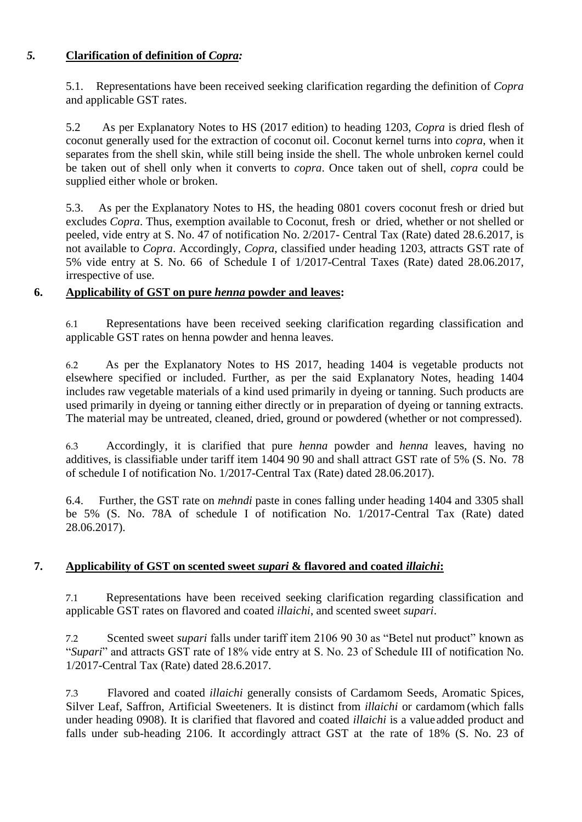# *5.* **Clarification of definition of** *Copra:*

5.1. Representations have been received seeking clarification regarding the definition of *Copra* and applicable GST rates.

5.2 As per Explanatory Notes to HS (2017 edition) to heading 1203, *Copra* is dried flesh of coconut generally used for the extraction of coconut oil. Coconut kernel turns into *copra*, when it separates from the shell skin, while still being inside the shell. The whole unbroken kernel could be taken out of shell only when it converts to *copra*. Once taken out of shell, *copra* could be supplied either whole or broken.

5.3. As per the Explanatory Notes to HS, the heading 0801 covers coconut fresh or dried but excludes *Copra*. Thus, exemption available to Coconut, fresh or dried, whether or not shelled or peeled, vide entry at S. No. 47 of notification No. 2/2017- Central Tax (Rate) dated 28.6.2017, is not available to *Copra*. Accordingly, *Copra*, classified under heading 1203, attracts GST rate of 5% vide entry at S. No. 66 of Schedule I of 1/2017-Central Taxes (Rate) dated 28.06.2017, irrespective of use.

# **6. Applicability of GST on pure** *henna* **powder and leaves:**

6.1 Representations have been received seeking clarification regarding classification and applicable GST rates on henna powder and henna leaves.

6.2 As per the Explanatory Notes to HS 2017, heading 1404 is vegetable products not elsewhere specified or included. Further, as per the said Explanatory Notes, heading 1404 includes raw vegetable materials of a kind used primarily in dyeing or tanning. Such products are used primarily in dyeing or tanning either directly or in preparation of dyeing or tanning extracts. The material may be untreated, cleaned, dried, ground or powdered (whether or not compressed).

6.3 Accordingly, it is clarified that pure *henna* powder and *henna* leaves, having no additives, is classifiable under tariff item 1404 90 90 and shall attract GST rate of 5% (S. No. 78 of schedule I of notification No. 1/2017-Central Tax (Rate) dated 28.06.2017).

6.4. Further, the GST rate on *mehndi* paste in cones falling under heading 1404 and 3305 shall be 5% (S. No. 78A of schedule I of notification No. 1/2017-Central Tax (Rate) dated 28.06.2017).

# **7. Applicability of GST on scented sweet** *supari* **& flavored and coated** *illaichi***:**

7.1 Representations have been received seeking clarification regarding classification and applicable GST rates on flavored and coated *illaichi*, and scented sweet *supari*.

7.2 Scented sweet *supari* falls under tariff item 2106 90 30 as "Betel nut product" known as "*Supari*" and attracts GST rate of 18% vide entry at S. No. 23 of Schedule III of notification No. 1/2017-Central Tax (Rate) dated 28.6.2017.

7.3 Flavored and coated *illaichi* generally consists of Cardamom Seeds, Aromatic Spices, Silver Leaf, Saffron, Artificial Sweeteners. It is distinct from *illaichi* or cardamom (which falls under heading 0908). It is clarified that flavored and coated *illaichi* is a valueadded product and falls under sub-heading 2106. It accordingly attract GST at the rate of 18% (S. No. 23 of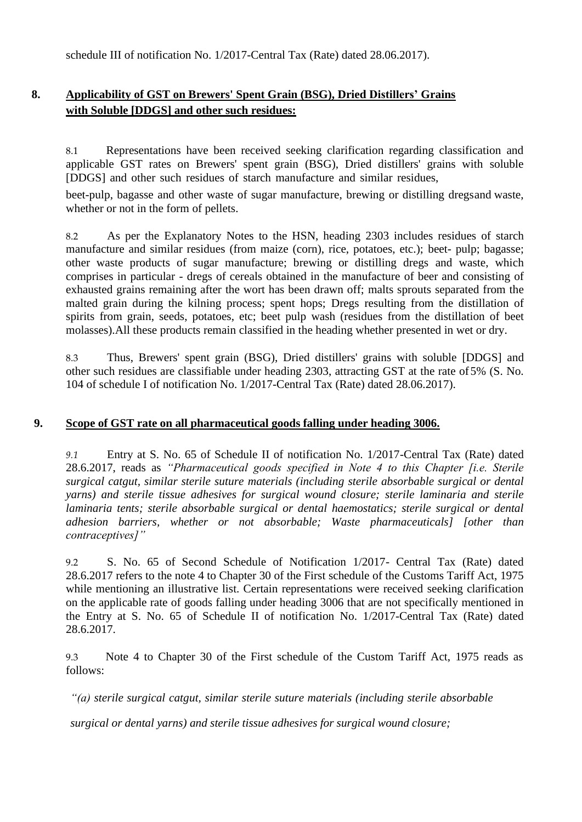schedule III of notification No. 1/2017-Central Tax (Rate) dated 28.06.2017).

# **8. Applicability of GST on Brewers' Spent Grain (BSG), Dried Distillers' Grains with Soluble [DDGS] and other such residues:**

8.1 Representations have been received seeking clarification regarding classification and applicable GST rates on Brewers' spent grain (BSG), Dried distillers' grains with soluble [DDGS] and other such residues of starch manufacture and similar residues,

beet-pulp, bagasse and other waste of sugar manufacture, brewing or distilling dregsand waste, whether or not in the form of pellets.

8.2 As per the Explanatory Notes to the HSN, heading 2303 includes residues of starch manufacture and similar residues (from maize (corn), rice, potatoes, etc.); beet- pulp; bagasse; other waste products of sugar manufacture; brewing or distilling dregs and waste, which comprises in particular - dregs of cereals obtained in the manufacture of beer and consisting of exhausted grains remaining after the wort has been drawn off; malts sprouts separated from the malted grain during the kilning process; spent hops; Dregs resulting from the distillation of spirits from grain, seeds, potatoes, etc; beet pulp wash (residues from the distillation of beet molasses).All these products remain classified in the heading whether presented in wet or dry.

8.3 Thus, Brewers' spent grain (BSG), Dried distillers' grains with soluble [DDGS] and other such residues are classifiable under heading 2303, attracting GST at the rate of5% (S. No. 104 of schedule I of notification No. 1/2017-Central Tax (Rate) dated 28.06.2017).

#### **9. Scope of GST rate on all pharmaceutical goods falling under heading 3006.**

*9.1* Entry at S. No. 65 of Schedule II of notification No. 1/2017-Central Tax (Rate) dated 28.6.2017, reads as *"Pharmaceutical goods specified in Note 4 to this Chapter [i.e. Sterile surgical catgut, similar sterile suture materials (including sterile absorbable surgical or dental yarns) and sterile tissue adhesives for surgical wound closure; sterile laminaria and sterile laminaria tents; sterile absorbable surgical or dental haemostatics; sterile surgical or dental adhesion barriers, whether or not absorbable; Waste pharmaceuticals] [other than contraceptives]"*

9.2 S. No. 65 of Second Schedule of Notification 1/2017- Central Tax (Rate) dated 28.6.2017 refers to the note 4 to Chapter 30 of the First schedule of the Customs Tariff Act, 1975 while mentioning an illustrative list. Certain representations were received seeking clarification on the applicable rate of goods falling under heading 3006 that are not specifically mentioned in the Entry at S. No. 65 of Schedule II of notification No. 1/2017-Central Tax (Rate) dated 28.6.2017.

9.3 Note 4 to Chapter 30 of the First schedule of the Custom Tariff Act, 1975 reads as follows:

*"(a) sterile surgical catgut, similar sterile suture materials (including sterile absorbable*

*surgical or dental yarns) and sterile tissue adhesives for surgical wound closure;*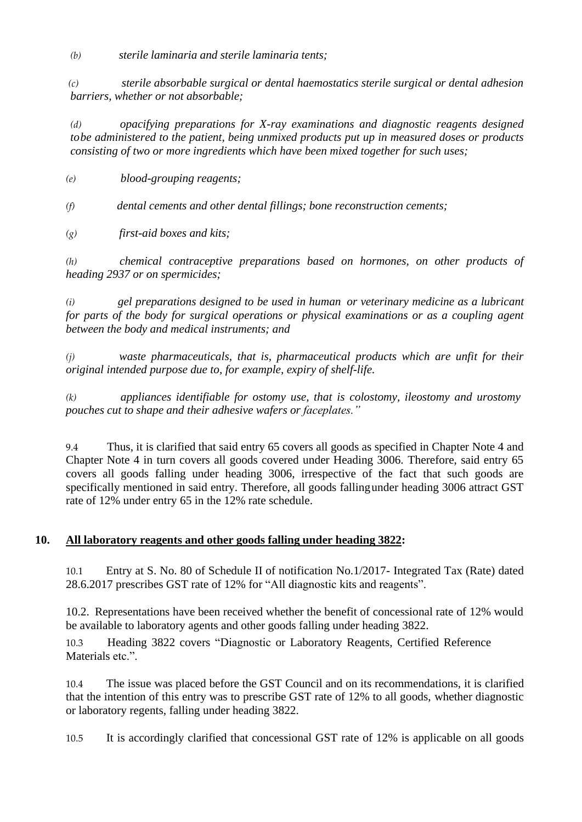*(b) sterile laminaria and sterile laminaria tents;*

*(c) sterile absorbable surgical or dental haemostatics sterile surgical or dental adhesion barriers, whether or not absorbable;*

*(d) opacifying preparations for X-ray examinations and diagnostic reagents designed tobe administered to the patient, being unmixed products put up in measured doses or products consisting of two or more ingredients which have been mixed together for such uses;*

*(e) blood-grouping reagents;*

*(f) dental cements and other dental fillings; bone reconstruction cements;*

*(g) first-aid boxes and kits;*

*(h) chemical contraceptive preparations based on hormones, on other products of heading 2937 or on spermicides;*

*(i) gel preparations designed to be used in human or veterinary medicine as a lubricant for parts of the body for surgical operations or physical examinations or as a coupling agent between the body and medical instruments; and*

*(j) waste pharmaceuticals, that is, pharmaceutical products which are unfit for their original intended purpose due to, for example, expiry of shelf-life.*

*(k) appliances identifiable for ostomy use, that is colostomy, ileostomy and urostomy pouches cut to shape and their adhesive wafers or faceplates."*

9.4 Thus, it is clarified that said entry 65 covers all goods as specified in Chapter Note 4 and Chapter Note 4 in turn covers all goods covered under Heading 3006. Therefore, said entry 65 covers all goods falling under heading 3006, irrespective of the fact that such goods are specifically mentioned in said entry. Therefore, all goods fallingunder heading 3006 attract GST rate of 12% under entry 65 in the 12% rate schedule.

#### **10. All laboratory reagents and other goods falling under heading 3822:**

10.1 Entry at S. No. 80 of Schedule II of notification No.1/2017- Integrated Tax (Rate) dated 28.6.2017 prescribes GST rate of 12% for "All diagnostic kits and reagents".

10.2. Representations have been received whether the benefit of concessional rate of 12% would be available to laboratory agents and other goods falling under heading 3822.

10.3 Heading 3822 covers "Diagnostic or Laboratory Reagents, Certified Reference Materials etc."

10.4 The issue was placed before the GST Council and on its recommendations, it is clarified that the intention of this entry was to prescribe GST rate of 12% to all goods, whether diagnostic or laboratory regents, falling under heading 3822.

10.5 It is accordingly clarified that concessional GST rate of 12% is applicable on all goods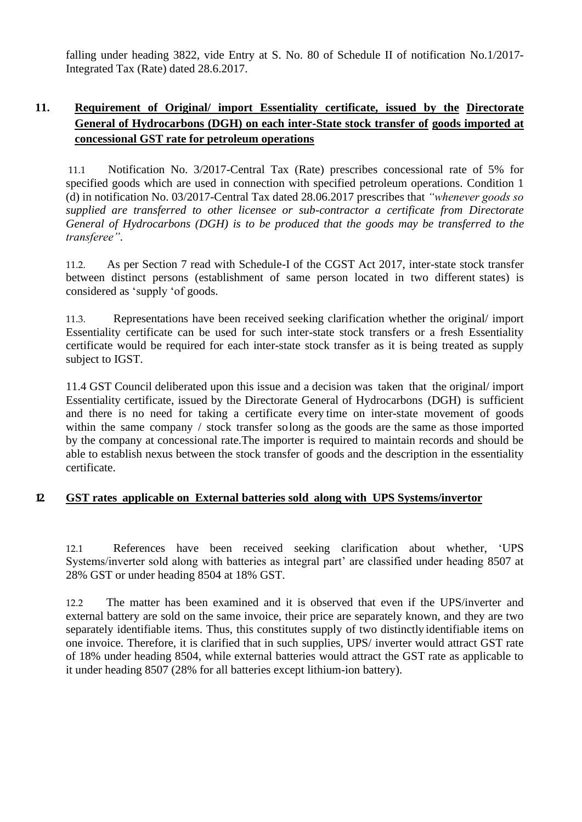falling under heading 3822, vide Entry at S. No. 80 of Schedule II of notification No.1/2017- Integrated Tax (Rate) dated 28.6.2017.

# **11. Requirement of Original/ import Essentiality certificate, issued by the Directorate General of Hydrocarbons (DGH) on each inter-State stock transfer of goods imported at concessional GST rate for petroleum operations**

11.1 Notification No. 3/2017-Central Tax (Rate) prescribes concessional rate of 5% for specified goods which are used in connection with specified petroleum operations. Condition 1 (d) in notification No. 03/2017-Central Tax dated 28.06.2017 prescribes that *"whenever goods so supplied are transferred to other licensee or sub-contractor a certificate from Directorate General of Hydrocarbons (DGH) is to be produced that the goods may be transferred to the transferee"*.

11.2. As per Section 7 read with Schedule-I of the CGST Act 2017, inter-state stock transfer between distinct persons (establishment of same person located in two different states) is considered as 'supply 'of goods.

11.3. Representations have been received seeking clarification whether the original/ import Essentiality certificate can be used for such inter-state stock transfers or a fresh Essentiality certificate would be required for each inter-state stock transfer as it is being treated as supply subject to IGST.

11.4 GST Council deliberated upon this issue and a decision was taken that the original/ import Essentiality certificate, issued by the Directorate General of Hydrocarbons (DGH) is sufficient and there is no need for taking a certificate every time on inter-state movement of goods within the same company / stock transfer solong as the goods are the same as those imported by the company at concessional rate.The importer is required to maintain records and should be able to establish nexus between the stock transfer of goods and the description in the essentiality certificate.

### **12. GST rates applicable on External batteries sold along with UPS Systems/invertor**

12.1 References have been received seeking clarification about whether, 'UPS Systems/inverter sold along with batteries as integral part' are classified under heading 8507 at 28% GST or under heading 8504 at 18% GST.

12.2 The matter has been examined and it is observed that even if the UPS/inverter and external battery are sold on the same invoice, their price are separately known, and they are two separately identifiable items. Thus, this constitutes supply of two distinctly identifiable items on one invoice. Therefore, it is clarified that in such supplies, UPS/ inverter would attract GST rate of 18% under heading 8504, while external batteries would attract the GST rate as applicable to it under heading 8507 (28% for all batteries except lithium-ion battery).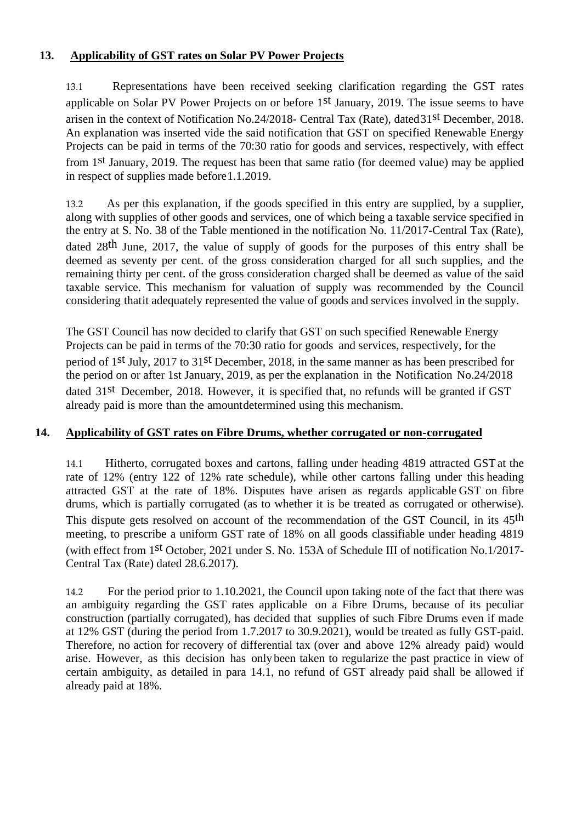# **13. Applicability of GST rates on Solar PV Power Projects**

13.1 Representations have been received seeking clarification regarding the GST rates applicable on Solar PV Power Projects on or before 1st January, 2019. The issue seems to have arisen in the context of Notification No.24/2018- Central Tax (Rate), dated31st December, 2018. An explanation was inserted vide the said notification that GST on specified Renewable Energy Projects can be paid in terms of the 70:30 ratio for goods and services, respectively, with effect from 1st January, 2019. The request has been that same ratio (for deemed value) may be applied in respect of supplies made before1.1.2019.

13.2 As per this explanation, if the goods specified in this entry are supplied, by a supplier, along with supplies of other goods and services, one of which being a taxable service specified in the entry at S. No. 38 of the Table mentioned in the notification No. 11/2017-Central Tax (Rate), dated 28th June, 2017, the value of supply of goods for the purposes of this entry shall be deemed as seventy per cent. of the gross consideration charged for all such supplies, and the remaining thirty per cent. of the gross consideration charged shall be deemed as value of the said taxable service. This mechanism for valuation of supply was recommended by the Council considering thatit adequately represented the value of goods and services involved in the supply.

The GST Council has now decided to clarify that GST on such specified Renewable Energy Projects can be paid in terms of the 70:30 ratio for goods and services, respectively, for the period of 1st July, 2017 to 31st December, 2018, in the same manner as has been prescribed for the period on or after 1st January, 2019, as per the explanation in the Notification No.24/2018 dated 31<sup>st</sup> December, 2018. However, it is specified that, no refunds will be granted if GST already paid is more than the amountdetermined using this mechanism.

### **14. Applicability of GST rates on Fibre Drums, whether corrugated or non-corrugated**

14.1 Hitherto, corrugated boxes and cartons, falling under heading 4819 attracted GSTat the rate of 12% (entry 122 of 12% rate schedule), while other cartons falling under this heading attracted GST at the rate of 18%. Disputes have arisen as regards applicable GST on fibre drums, which is partially corrugated (as to whether it is be treated as corrugated or otherwise). This dispute gets resolved on account of the recommendation of the GST Council, in its 45<sup>th</sup> meeting, to prescribe a uniform GST rate of 18% on all goods classifiable under heading 4819 (with effect from 1st October, 2021 under S. No. 153A of Schedule III of notification No.1/2017- Central Tax (Rate) dated 28.6.2017).

14.2 For the period prior to 1.10.2021, the Council upon taking note of the fact that there was an ambiguity regarding the GST rates applicable on a Fibre Drums, because of its peculiar construction (partially corrugated), has decided that supplies of such Fibre Drums even if made at 12% GST (during the period from 1.7.2017 to 30.9.2021), would be treated as fully GST-paid. Therefore, no action for recovery of differential tax (over and above 12% already paid) would arise. However, as this decision has only been taken to regularize the past practice in view of certain ambiguity, as detailed in para 14.1, no refund of GST already paid shall be allowed if already paid at 18%.